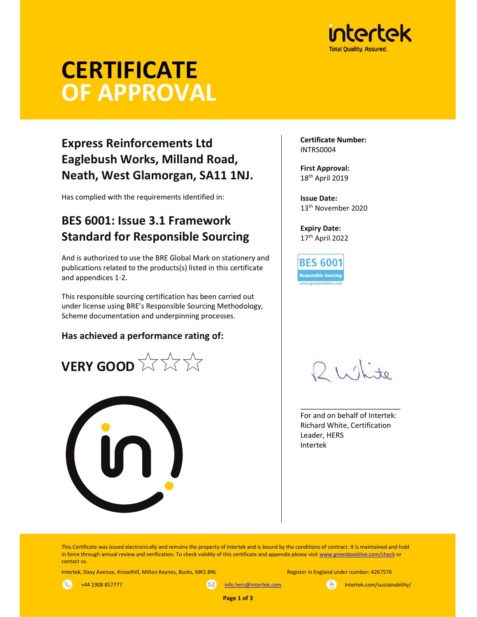

# **CERTIFICATE** OF APPROVAL

# Express Reinforcements Ltd Eaglebush Works, Milland Road, Neath, West Glamorgan, SA11 1NJ.

Has complied with the requirements identified in:

## BES 6001: Issue 3.1 Framework Standard for Responsible Sourcing

And is authorized to use the BRE Global Mark on stationery and publications related to the products(s) listed in this certificate and appendices 1-2.

This responsible sourcing certification has been carried out under license using BRE's Responsible Sourcing Methodology, Scheme documentation and underpinning processes.

## Has achieved a performance rating of:





Certificate Number: INTRS0004

First Approval: 18th April 2019

Issue Date: 13th November 2020

Expiry Date: 17th April 2022

**BES 6001** Resp<mark>onsibl</mark>e Sourcing

\_\_\_\_\_\_\_\_\_\_\_\_\_\_\_\_\_\_\_\_\_\_\_\_\_ For and on behalf of Intertek: Richard White, Certification Leader, HERS Intertek

This Certificate was issued electronically and remains the property of Intertek and is bound by the conditions of contract. It is maintained and hold in force through annual review and verification. To check validity of this certificate and appendix please visit www.greenbooklive.com/check or contact us.

Page 1 of 3

Intertek, Davy Avenue, Knowlhill, Milton Keynes, Bucks, MK5 8NL Register in England under number: 4267576

 $\mathbb{R}$ +44 1908 857777 info.hers@intertek.com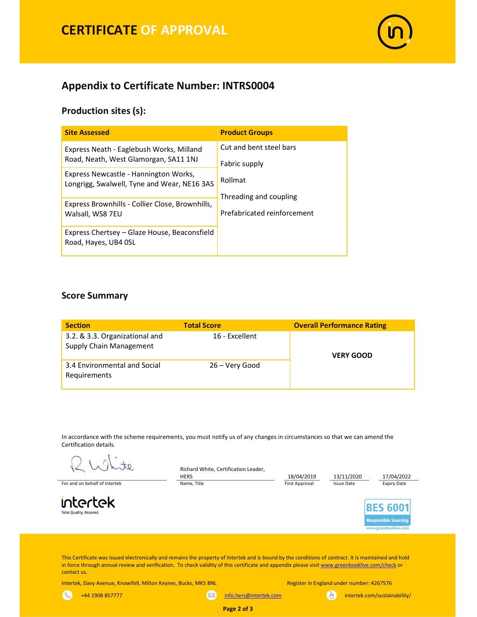

## Appendix to Certificate Number: INTRS0004

### Production sites (s):

| <b>Site Assessed</b>                                                                 | <b>Product Groups</b>                                 |  |  |  |
|--------------------------------------------------------------------------------------|-------------------------------------------------------|--|--|--|
| Express Neath - Eaglebush Works, Milland<br>Road, Neath, West Glamorgan, SA11 1NJ    | Cut and bent steel bars<br>Fabric supply              |  |  |  |
| Express Newcastle - Hannington Works,<br>Longrigg, Swalwell, Tyne and Wear, NE16 3AS | Rollmat                                               |  |  |  |
| Express Brownhills - Collier Close, Brownhills,<br>Walsall, WS8 7EU                  | Threading and coupling<br>Prefabricated reinforcement |  |  |  |
| Express Chertsey - Glaze House, Beaconsfield<br>Road, Hayes, UB4 OSL                 |                                                       |  |  |  |

#### Score Summary

| <b>Section</b>                                            | <b>Total Score</b> | <b>Overall Performance Rating</b> |  |  |  |
|-----------------------------------------------------------|--------------------|-----------------------------------|--|--|--|
| 3.2. & 3.3. Organizational and<br>Supply Chain Management | 16 - Excellent     | <b>VERY GOOD</b>                  |  |  |  |
| 3.4 Environmental and Social<br>Requirements              | 26 – Very Good     |                                   |  |  |  |

In accordance with the scheme requirements, you must notify us of any changes in circumstances so that we can amend the Certification details.

te.

For and on behalf of Intertek **Name, Title Communist Approval Communist Approval** Issue Date Expiry Date Expiry Date

intertek Total Quality. Assured.

Richard White, Certification Leader,

 $\left( \infty \right)$ 

HERS 18/04/2019 13/11/2020 11/04/2022<br>Name, Title 19/04/2022 11/12/05/2010 11/12/2020 11/12/2020 11/12/2020 11/12/2022

**BES 600** esponsible Sourcing

ahooklive

This Certificate was issued electronically and remains the property of Intertek and is bound by the conditions of contract. It is maintained and hold in force through annual review and verification. To check validity of this certificate and appendix please visit www.greenbooklive.com/check or contact us.

Intertek, Davy Avenue, Knowlhill, Milton Keynes, Bucks, MK5 8NL Register in England under number: 4267576

 $\mathbb{R}$ 

+44 1908 857777

**info.hers@intertek.com** intertek.com/sustainability/